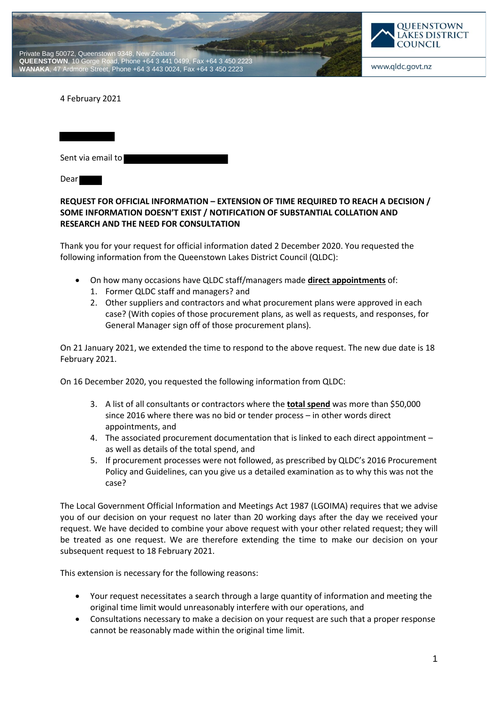



www.qldc.govt.nz

4 February 2021

| Sent via email to |  |
|-------------------|--|
| Dear              |  |

# **REQUEST FOR OFFICIAL INFORMATION – EXTENSION OF TIME REQUIRED TO REACH A DECISION / SOME INFORMATION DOESN'T EXIST / NOTIFICATION OF SUBSTANTIAL COLLATION AND RESEARCH AND THE NEED FOR CONSULTATION**

Thank you for your request for official information dated 2 December 2020. You requested the following information from the Queenstown Lakes District Council (QLDC):

- On how many occasions have QLDC staff/managers made **direct appointments** of:
	- 1. Former QLDC staff and managers? and
	- 2. Other suppliers and contractors and what procurement plans were approved in each case? (With copies of those procurement plans, as well as requests, and responses, for General Manager sign off of those procurement plans).

On 21 January 2021, we extended the time to respond to the above request. The new due date is 18 February 2021.

On 16 December 2020, you requested the following information from QLDC:

- 3. A list of all consultants or contractors where the **total spend** was more than \$50,000 since 2016 where there was no bid or tender process – in other words direct appointments, and
- 4. The associated procurement documentation that is linked to each direct appointment as well as details of the total spend, and
- 5. If procurement processes were not followed, as prescribed by QLDC's 2016 Procurement Policy and Guidelines, can you give us a detailed examination as to why this was not the case?

The Local Government Official Information and Meetings Act 1987 (LGOIMA) requires that we advise you of our decision on your request no later than 20 working days after the day we received your request. We have decided to combine your above request with your other related request; they will be treated as one request. We are therefore extending the time to make our decision on your subsequent request to 18 February 2021.

This extension is necessary for the following reasons:

- Your request necessitates a search through a large quantity of information and meeting the original time limit would unreasonably interfere with our operations, and
- Consultations necessary to make a decision on your request are such that a proper response cannot be reasonably made within the original time limit.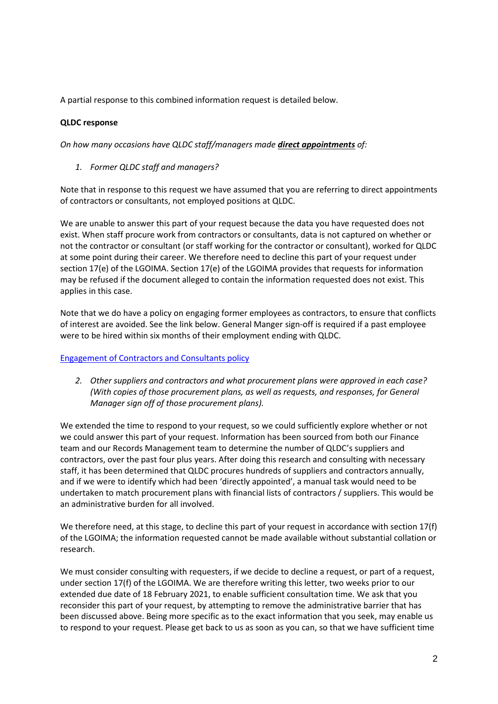A partial response to this combined information request is detailed below.

# **QLDC response**

*On how many occasions have QLDC staff/managers made direct appointments of:*

*1. Former QLDC staff and managers?*

Note that in response to this request we have assumed that you are referring to direct appointments of contractors or consultants, not employed positions at QLDC.

We are unable to answer this part of your request because the data you have requested does not exist. When staff procure work from contractors or consultants, data is not captured on whether or not the contractor or consultant (or staff working for the contractor or consultant), worked for QLDC at some point during their career. We therefore need to decline this part of your request under section 17(e) of the LGOIMA. Section 17(e) of the LGOIMA provides that requests for information may be refused if the document alleged to contain the information requested does not exist. This applies in this case.

Note that we do have a policy on engaging former employees as contractors, to ensure that conflicts of interest are avoided. See the link below. General Manger sign-off is required if a past employee were to be hired within six months of their employment ending with QLDC.

## Engagement of Contractors and Consultants policy

*2. Other suppliers and contractors and what procurement plans were approved in each case? (With copies of those procurement plans, as well as requests, and responses, for General Manager sign off of those procurement plans).*

We extended the time to respond to your request, so we could sufficiently explore whether or not we could answer this part of your request. Information has been sourced from both our Finance team and our Records Management team to determine the number of QLDC's suppliers and contractors, over the past four plus years. After doing this research and consulting with necessary staff, it has been determined that QLDC procures hundreds of suppliers and contractors annually, and if we were to identify which had been 'directly appointed', a manual task would need to be undertaken to match procurement plans with financial lists of contractors / suppliers. This would be an administrative burden for all involved.

We therefore need, at this stage, to decline this part of your request in accordance with section 17(f) of the LGOIMA; the information requested cannot be made available without substantial collation or research.

We must consider consulting with requesters, if we decide to decline a request, or part of a request, under section 17(f) of the LGOIMA. We are therefore writing this letter, two weeks prior to our extended due date of 18 February 2021, to enable sufficient consultation time. We ask that you reconsider this part of your request, by attempting to remove the administrative barrier that has been discussed above. Being more specific as to the exact information that you seek, may enable us to respond to your request. Please get back to us as soon as you can, so that we have sufficient time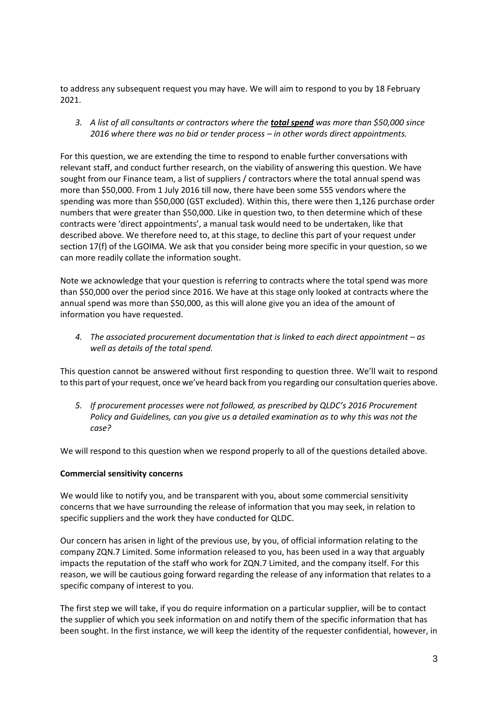to address any subsequent request you may have. We will aim to respond to you by 18 February 2021.

*3. A list of all consultants or contractors where the total spend was more than \$50,000 since 2016 where there was no bid or tender process – in other words direct appointments.*

For this question, we are extending the time to respond to enable further conversations with relevant staff, and conduct further research, on the viability of answering this question. We have sought from our Finance team, a list of suppliers / contractors where the total annual spend was more than \$50,000. From 1 July 2016 till now, there have been some 555 vendors where the spending was more than \$50,000 (GST excluded). Within this, there were then 1,126 purchase order numbers that were greater than \$50,000. Like in question two, to then determine which of these contracts were 'direct appointments', a manual task would need to be undertaken, like that described above. We therefore need to, at this stage, to decline this part of your request under section 17(f) of the LGOIMA. We ask that you consider being more specific in your question, so we can more readily collate the information sought.

Note we acknowledge that your question is referring to contracts where the total spend was more than \$50,000 over the period since 2016. We have at this stage only looked at contracts where the annual spend was more than \$50,000, as this will alone give you an idea of the amount of information you have requested.

*4.* The associated procurement documentation that is linked to each direct appointment – as *well as details of the total spend.*

This question cannot be answered without first responding to question three. We'll wait to respond to this part of your request, once we've heard back from you regarding our consultation queries above.

*5. If procurement processes were not followed, as prescribed by QLDC's 2016 Procurement Policy and Guidelines, can you give us a detailed examination as to why this was not the case?*

We will respond to this question when we respond properly to all of the questions detailed above.

#### **Commercial sensitivity concerns**

We would like to notify you, and be transparent with you, about some commercial sensitivity concerns that we have surrounding the release of information that you may seek, in relation to specific suppliers and the work they have conducted for QLDC.

Our concern has arisen in light of the previous use, by you, of official information relating to the company ZQN.7 Limited. Some information released to you, has been used in a way that arguably impacts the reputation of the staff who work for ZQN.7 Limited, and the company itself. For this reason, we will be cautious going forward regarding the release of any information that relates to a specific company of interest to you.

The first step we will take, if you do require information on a particular supplier, will be to contact the supplier of which you seek information on and notify them of the specific information that has been sought. In the first instance, we will keep the identity of the requester confidential, however, in